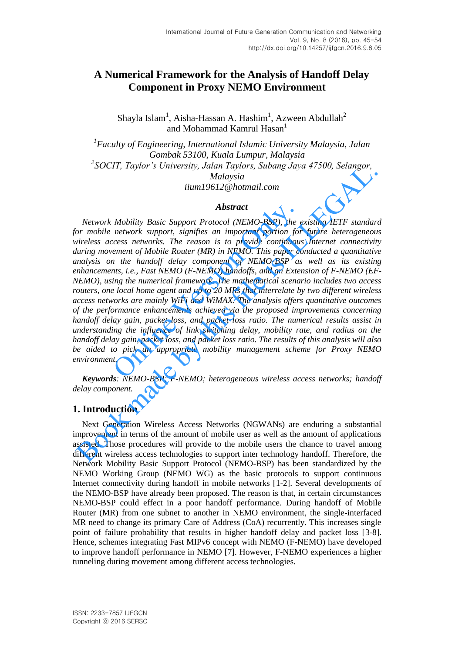# **A Numerical Framework for the Analysis of Handoff Delay Component in Proxy NEMO Environment**

Shayla Islam<sup>1</sup>, Aisha-Hassan A. Hashim<sup>1</sup>, Azween Abdullah<sup>2</sup> and Mohammad Kamrul Hasan<sup>1</sup>

*1 Faculty of Engineering, International Islamic University Malaysia, Jalan Gombak 53100, Kuala Lumpur, Malaysia 2 SOCIT, Taylor's University, Jalan Taylors, Subang Jaya 47500, Selangor, Malaysia iium19612@hotmail.com* 

### *Abstract*

*Network Mobility Basic Support Protocol (NEMO-BSP), the existing IETF standard for mobile network support, signifies an important portion for future heterogeneous wireless access networks. The reason is to provide continuous Internet connectivity during movement of Mobile Router (MR) in NEMO. This paper conducted a quantitative analysis on the handoff delay component of NEMO-BSP as well as its existing enhancements, i.e., Fast NEMO (F-NEMO) handoffs, and an Extension of F-NEMO (EF-NEMO), using the numerical framework. The mathematical scenario includes two access routers, one local home agent and up to 20 MRs that interrelate by two different wireless access networks are mainly WiFi and WiMAX. The analysis offers quantitative outcomes of the performance enhancements achieved via the proposed improvements concerning handoff delay gain, packet loss, and packet loss ratio. The numerical results assist in understanding the influence of link switching delay, mobility rate, and radius on the handoff delay gain, packet loss, and packet loss ratio. The results of this analysis will also be aided to pick an appropriate mobility management scheme for Proxy NEMO environment.*  **Abstract**<br>**Abstract**<br>**Mobility Basic Support Protocol (NEMO-BSP), the network support, signifies an important portion for<br>ccess networks. The reason is to provide continuous<br>rement of Mobile Router (MR) in NEMO. This pape** SOCIT, Taylor's Oniversity, Jatam 1 aylors, Subang Jaya 47500, Selangor,<br>
Malaysia<br>
Malaysia<br>
Malaysia<br>
Malaysia<br>
Malaysia<br>
Abstract<br>
Nework Mobility Basic Support Protocol (NEMO-BSP), the existing IETF standar<br>
or mobile

*Keywords: NEMO-BSP; F-NEMO; heterogeneous wireless access networks; handoff delay component.* 

# **1. Introduction**

Next Generation Wireless Access Networks (NGWANs) are enduring a substantial improvement in terms of the amount of mobile user as well as the amount of applications assisted. Those procedures will provide to the mobile users the chance to travel among different wireless access technologies to support inter technology handoff. Therefore, the Network Mobility Basic Support Protocol (NEMO-BSP) has been standardized by the NEMO Working Group (NEMO WG) as the basic protocols to support continuous Internet connectivity during handoff in mobile networks [1-2]. Several developments of the NEMO-BSP have already been proposed. The reason is that, in certain circumstances NEMO-BSP could effect in a poor handoff performance. During handoff of Mobile Router (MR) from one subnet to another in NEMO environment, the single-interfaced MR need to change its primary Care of Address (CoA) recurrently. This increases single point of failure probability that results in higher handoff delay and packet loss [3-8]. Hence, schemes integrating Fast MIPv6 concept with NEMO (F-NEMO) have developed to improve handoff performance in NEMO [7]. However, F-NEMO experiences a higher tunneling during movement among different access technologies.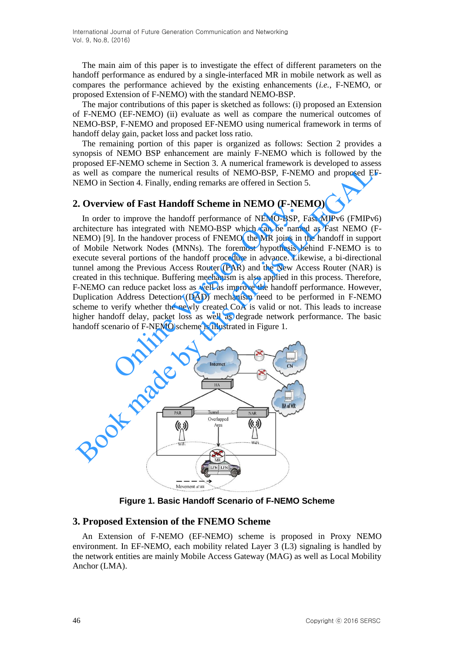The main aim of this paper is to investigate the effect of different parameters on the handoff performance as endured by a single-interfaced MR in mobile network as well as compares the performance achieved by the existing enhancements (*i.e.*, F-NEMO, or proposed Extension of F-NEMO) with the standard NEMO-BSP.

The major contributions of this paper is sketched as follows: (i) proposed an Extension of F-NEMO (EF-NEMO) (ii) evaluate as well as compare the numerical outcomes of NEMO-BSP, F-NEMO and proposed EF-NEMO using numerical framework in terms of handoff delay gain, packet loss and packet loss ratio.

The remaining portion of this paper is organized as follows: Section 2 provides a synopsis of NEMO BSP enhancement are mainly F-NEMO which is followed by the proposed EF-NEMO scheme in Section 3. A numerical framework is developed to assess as well as compare the numerical results of NEMO-BSP, F-NEMO and proposed EF-NEMO in Section 4. Finally, ending remarks are offered in Section 5.

### **2. Overview of Fast Handoff Scheme in NEMO (F-NEMO)**

In order to improve the handoff performance of NEMO-BSP, Fast MIPv6 (FMIPv6) architecture has integrated with NEMO-BSP which can be named as Fast NEMO (F-NEMO) [9]. In the handover process of FNEMO, the MR joins in the handoff in support of Mobile Network Nodes (MNNs). The foremost hypothesis behind F-NEMO is to execute several portions of the handoff procedure in advance. Likewise, a bi-directional tunnel among the Previous Access Router (PAR) and the New Access Router (NAR) is created in this technique. Buffering mechanism is also applied in this process. Therefore, F-NEMO can reduce packet loss as well as improve the handoff performance. However, Duplication Address Detection (DAD) mechanism need to be performed in F-NEMO scheme to verify whether the newly created CoA is valid or not. This leads to increase higher handoff delay, packet loss as well as degrade network performance. The basic handoff scenario of F-NEMO scheme is illustrated in Figure 1. EVALUATE THEMO TO THE MOVED THE MOVED TO THE TO IMPORT TO IMPORT THE TO IMPORT THE TO IMPORT THE INTENTO (THE<br>
I. In the handover process of FNEMO, the MR joins in Network Nodes (MNNs). The foremost hypothesis I<br>
reral por Sometime in the number of the number of the matrix of NEMO-BSP, F-NEMO and proposed EF<br>
NEMO in Section 4. Finally, ending remarks are offered in Section 5.<br>
L. Overview of Fast Handoff Scheme in NEMO (F-NEMO)<br>
In order t



**Figure 1. Basic Handoff Scenario of F-NEMO Scheme** 

### **3. Proposed Extension of the FNEMO Scheme**

An Extension of F-NEMO (EF-NEMO) scheme is proposed in Proxy NEMO environment. In EF-NEMO, each mobility related Layer 3 (L3) signaling is handled by the network entities are mainly Mobile Access Gateway (MAG) as well as Local Mobility Anchor (LMA).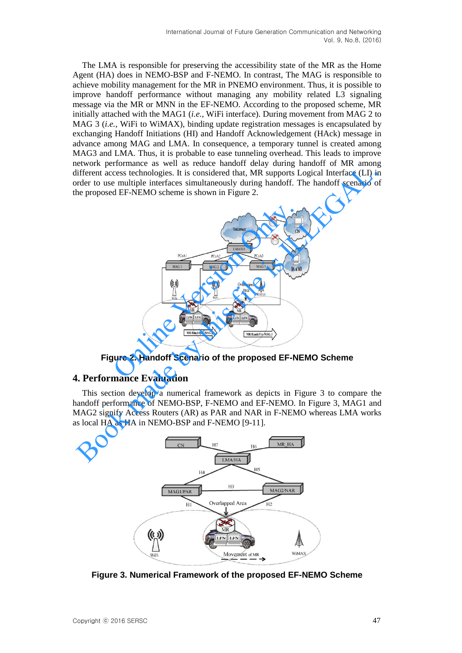The LMA is responsible for preserving the accessibility state of the MR as the Home Agent (HA) does in NEMO-BSP and F-NEMO. In contrast, The MAG is responsible to achieve mobility management for the MR in PNEMO environment. Thus, it is possible to improve handoff performance without managing any mobility related L3 signaling message via the MR or MNN in the EF-NEMO. According to the proposed scheme, MR initially attached with the MAG1 (*i.e.*, WiFi interface). During movement from MAG 2 to MAG 3 (*i.e.*, WiFi to WiMAX), binding update registration messages is encapsulated by exchanging Handoff Initiations (HI) and Handoff Acknowledgement (HAck) message in advance among MAG and LMA. In consequence, a temporary tunnel is created among MAG3 and LMA. Thus, it is probable to ease tunneling overhead. This leads to improve network performance as well as reduce handoff delay during handoff of MR among different access technologies. It is considered that, MR supports Logical Interface (LI) in order to use multiple interfaces simultaneously during handoff. The handoff scenario of the proposed EF-NEMO scheme is shown in Figure 2.



**Figure 2. Handoff Scenario of the proposed EF-NEMO Scheme**

# **4. Performance Evaluation**

This section develop a numerical framework as depicts in Figure 3 to compare the handoff performance of NEMO-BSP, F-NEMO and EF-NEMO. In Figure 3, MAG1 and MAG2 signify Access Routers (AR) as PAR and NAR in F-NEMO whereas LMA works as local HA as HA in NEMO-BSP and F-NEMO [9-11].



**Figure 3. Numerical Framework of the proposed EF-NEMO Scheme**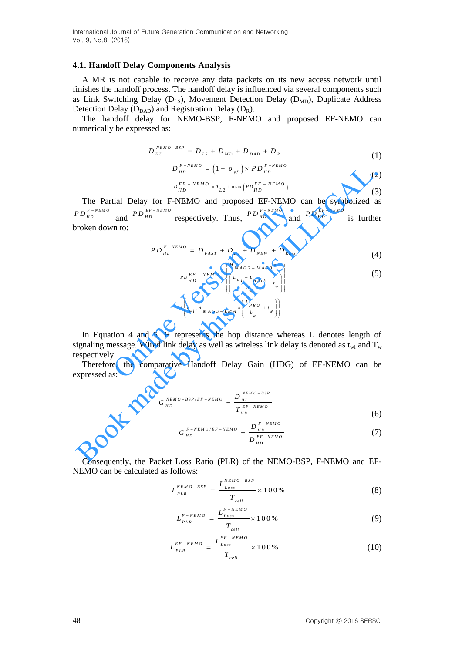International Journal of Future Generation Communication and Networking Vol. 9, No.8, (2016)

#### **4.1. Handoff Delay Components Analysis**

A MR is not capable to receive any data packets on its new access network until finishes the handoff process. The handoff delay is influenced via several components such as Link Switching Delay ( $D_{LS}$ ), Movement Detection Delay ( $D_{MD}$ ), Duplicate Address Detection Delay ( $D_{DAD}$ ) and Registration Delay ( $D_R$ ).

The handoff delay for NEMO-BSP, F-NEMO and proposed EF-NEMO can numerically be expressed as:

$$
D_{HD}^{NEMO-BSP} = D_{LS} + D_{MD} + D_{DAD} + D_R
$$
 (1)

$$
D_{HD}^{F-NEMO} = (1 - p_{pf}) \times PD_{HD}^{F-NEMO}
$$
 (1)

$$
D_{HD}^{EF - NEMO} = T_{L2} + \max \left( P D_{HD}^{EF - NEMO} \right)
$$
 (2)

The Partial Delay for F-NEMO and proposed EF-NEMO can be symbolized as *P D*  $_{HD}^{F \, - \, NEM \, O}$ and  $P D_{HD}^{EF-NEMO}$  respectively. Thus,  $P D_{HD}^{F-NEMO}$  and  $P D_{HD}^{EF-NEMO}$  is further broken down to:  $D_{h}^{f_{B} \to RMO} = (1 - p_{sr}) \times PD_{h}^{F_{B} \to RMO}$  (2<br>
The Partial Delay for F-NEMO and proposed EF-NEMO can be symbolized a<br>  $p_{B}^{f_{B} \to RMO}$  and  $p_{B}^{f_{B} \to RMO}$  respectively. Thus,  $PD_{h}^{f_{B}}^{f_{B} \to RMO}$  and  $PD_{h0}^{f_{B} \to RMO}$  is

$$
PD_{HL}^{F-NEMO} = D_{FAST} + D_{L2} + D_{NEW} + D_{REG}
$$
\n(4)

and 
$$
PD_{HD}^{EF-NEMO}
$$
 respectively. Thus,  $PD_{HD}^{F-NEMO}$  and  $PD_{HD}^{EF-NEMO}$  is further  
\n
$$
PD_{HL}^{F-NEMO} = D_{FAST} + D_{L2} + D_{NEW} + D_{REG}
$$
\n
$$
PD_{HD}^{EF-NEMO} = \begin{bmatrix} {H_{MAG2-MAG3}}^* \\ {H_{ML}^{F/L} + H_{RCK}^* \\ {H_{MD}}^* \\ {H_{MD}}^* \end{bmatrix}
$$
\n
$$
+ \begin{bmatrix} {H_{MAG3-MAG3}}^* \\ {H_{ML}^{F/L} + H_{RCK}^* \\ {H_{NL}^{F/L} + H_{MAG3-LMA}}^* \end{bmatrix} \begin{bmatrix} {L_{H1} + L_{H_{ACK}}^*} \\ {L_{W1} + L_{H_{ML}}^* \\ {H_{NL}^{F/L}}^* \end{bmatrix}
$$
\n
$$
+ \begin{bmatrix} {H_{ML}^{F/L} + H_{MCK}^*} \\ {H_{NL}^{F/L} + H_{MLG3-LMA}}^* \end{bmatrix}
$$
\n
$$
+ \begin{bmatrix} {H_{ML}^{F/L} + H_{MCK}^*} \\ {H_{NL}^{F/L} + H_{MCK}^* \end{bmatrix}
$$
\n
$$
+ \begin{bmatrix} {H_{ML}^{F/L} + H_{MCK}^*} \\ {H_{NL}^{F/L} + H_{MCK}^* \end{bmatrix}
$$
\n
$$
+ \begin{bmatrix} {H_{ML}^{F/L} + H_{MCK}^*} \\ {H_{NL}^{F/L} + H_{MCK}^* \end{bmatrix}
$$
\n
$$
+ \begin{bmatrix} {H_{ML}^{F/L} + H_{MCK}^*} \\ {H_{NL}^{F/L} + H_{MCK}^* \end{bmatrix}
$$
\n
$$
+ \begin{bmatrix} {H_{ML}^{F/L} + H_{MCK}^*} \\ {H_{NL}^{F/L} + H_{MCK}^* \end{bmatrix}
$$
\n
$$
+ \begin{bmatrix} {H_{ML}^{F/L} + H_{MCK}^*} \\ {H_{NL}^{F/L} + H_{MCK}^* \end{bmatrix}
$$
\n
$$
+ \begin{bmatrix} {H_{ML}^{F/L} + H_{MCK}^*} \\ {H_{NL}^{F/L} + H_{MCK}^* \end{
$$

In Equation 4 and 5, H represents the hop distance whereas L denotes length of signaling message. Wired link delay as well as wireless link delay is denoted as  $t_{wl}$  and  $T_w$ respectively.

Therefore, the comparative Handoff Delay Gain (HDG) of EF-NEMO can be expressed as:

$$
G_{HD}^{NEMO-BSP/EF-NEMO} = \frac{D_{HL}^{NEMO-BSP}}{T_{HD}^{EF-NEMO}}
$$
(6)

$$
G_{HD}^{F-NEMO/EF-NEMO} = \frac{D_{HD}^{F-NEMO}}{D_{HD}^{EF-NEMO}} \tag{7}
$$

Consequently, the Packet Loss Ratio (PLR) of the NEMO-BSP, F-NEMO and EF-NEMO can be calculated as follows:

$$
L_{PLR}^{NEMO-BSP} = \frac{L_{Loss}^{NEMO-BSP}}{T_{cell}} \times 100\%
$$
 (8)

$$
L_{PLR}^{F-NEMO} = \frac{L_{Loss}^{F-NEMO}}{T_{cell}} \times 100\%
$$
 (9)

$$
L_{PLR}^{EF-NEMO} = \frac{L_{Loss}^{EF-NEMO}}{T_{cell}} \times 100\%
$$
 (10)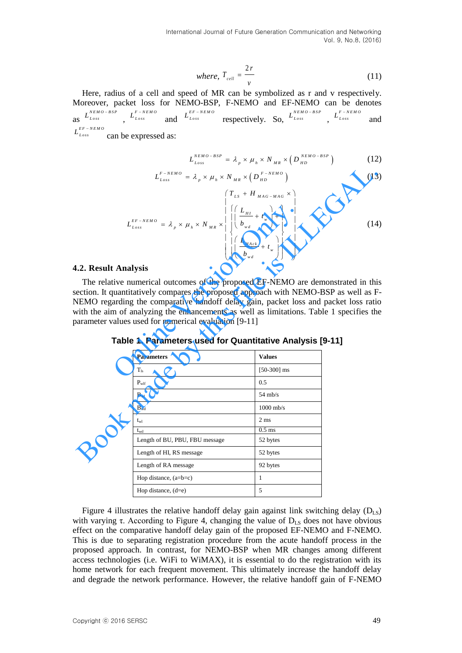International Journal of Future Generation Communication and Networking Vol. 9, No.8, (2016)

where, 
$$
T_{cell} = \frac{2r}{v}
$$
 (11)

Here, radius of a cell and speed of MR can be symbolized as r and v respectively. Moreover, packet loss for NEMO-BSP, F-NEMO and EF-NEMO can be denotes as  $L_{Loss}^{NEMO-BSP}$   $L_{Loss}^{F-NEMO}$ and  $L_{Loss}^{EF-NEMO}$  respectively. So,  $L_{Loss}^{NEMO-BSP}$ ,  $L_{Loss}^{F-NEMO}$ and  $L_{Loss}^{EF-NEMO}$  can be expressed as:

$$
L_{Loss}^{NEMO-BSP} = \lambda_p \times \mu_h \times N_{MR} \times (D_{HD}^{NEMO-BSP})
$$
 (12)

$$
L_{Loss} = \lambda_p \times \mu_h \times N_{MR} \times (D_{HD}^{H_{LD}})^{1/2}
$$
(12)  

$$
L_{Loss}^{F-NEMO} = \lambda_p \times \mu_h \times N_{MR} \times (D_{HD}^{F-NEMO})
$$
(13)  

$$
(T_{LS} + H_{MAG-MAG} \times)
$$

$$
L_{Loss}^{EF-NEMO} = \lambda_{p} \times \mu_{h} \times N_{MR} \times \left\{ \left| \left( \frac{L_{HI}}{b_{wd}} + t_{w} \right) \right| \right\}
$$
 (14)  
\n
$$
\left| \left( \frac{L_{Hate}}{b_{wd}} + t_{w} \right) \right| \right\}
$$
 (14)  
\n
$$
\left| \left( \frac{L_{Hate}}{b_{wd}} + t_{w} \right) \right|
$$
 (15)  
\n
$$
\left| \left( \frac{L_{Hate}}{b_{wd}} + t_{w} \right) \right|
$$
 (16)  
\n
$$
\left| \left( \frac{L_{Hate}}{b_{wd}} + t_{w} \right) \right|
$$
 (17)  
\n
$$
\left| \left( \frac{L_{Hate}}{b_{wd}} + t_{w} \right) \right|
$$
 (18)  
\n
$$
\left| \left( \frac{L_{Hate}}{b_{wd}} + t_{w} \right) \right|
$$
 (19)  
\n
$$
\left| \left( \frac{L_{Hate}}{b_{wd}} + t_{w} \right) \right|
$$
 (14)  
\n
$$
\left| \left( \frac{L_{Hate}}{b_{wd}} + t_{w} \right) \right|
$$
 (15)  
\n
$$
\left| \left( \frac{L_{Hate}}{b_{wd}} + t_{w} \right) \right|
$$
 (19)  
\n
$$
\left| \left( \frac{L_{Hate}}{b_{wd}} + t_{w} \right) \right|
$$
 (19)  
\n
$$
\left| \left( \frac{L_{Hate}}{b_{wd}} + t_{w} \right) \right|
$$
 (19)  
\n
$$
\left| \left( \frac{L_{Hate}}{b_{wd}} + t_{w} \right) \right|
$$
 (14)  
\n
$$
\left| \left( \frac{L_{Hate}}{b_{wd}} + t_{w} \right) \right|
$$
 (15)  
\n
$$
\left| \left( \frac{L_{Hate}}{b_{wd}} + t_{w} \right) \right|
$$
 (14)  
\n
$$
\left| \left( \frac{L_{Hate}}{b_{wd}} + t_{w} \right) \right|
$$
 (14)  
\n<math display="</math>

#### **4.2. Result Analysis**

**Table 1. Parameters used for Quantitative Analysis [9-11]**

|                     | $L_{Loss}^{F-NEMO} = \lambda_{p} \times \mu_{h} \times N_{MR} \times (D_{HD}^{F-NEMO})$                                                                                                                                                                                                                                                                                                                                                                                            |                | (13) |
|---------------------|------------------------------------------------------------------------------------------------------------------------------------------------------------------------------------------------------------------------------------------------------------------------------------------------------------------------------------------------------------------------------------------------------------------------------------------------------------------------------------|----------------|------|
|                     | $L_{Loss}^{EF-NEMO} \,=\, \lambda_{_p} \times \, \mu_{_h} \times \, N_{_{MR}} \times \left  \begin{array}{c} \left  \left( \frac{L_{_{HI}}}{b_{_{wd}}} + \, t_{_w} \right) + \right  \\ \left  \left( \frac{L_{_{HI}}}{b_{_{wd}}} + \, t_{_w} \right) + \right  \\ \left  \left( \frac{L_{_{Hack}}}{b_{_{wd}}} + \, t_{_w} \right) \right  \end{array} \right  \label{eq:loss}$                                                                                                    |                | (14) |
| .2. Result Analysis |                                                                                                                                                                                                                                                                                                                                                                                                                                                                                    |                |      |
|                     | The relative numerical outcomes of the proposed EF-NEMO are demonstrated in thi<br>ection. It quantitatively compares the proposed approach with NEMO-BSP as well as F<br>NEMO regarding the comparative handoff delay gain, packet loss and packet loss rational<br>with the aim of analyzing the enhancements as well as limitations. Table 1 specifies th<br>parameter values used for numerical evaluation [9-11]<br>Table 1. Parameters used for Quantitative Analysis [9-11] |                |      |
|                     | <b>Parameters</b>                                                                                                                                                                                                                                                                                                                                                                                                                                                                  | <b>Values</b>  |      |
|                     | $T_{ls}$                                                                                                                                                                                                                                                                                                                                                                                                                                                                           | $[50-300]$ ms  |      |
|                     | $P_{wlf}$                                                                                                                                                                                                                                                                                                                                                                                                                                                                          | 0.5            |      |
|                     | $B_{wl}$                                                                                                                                                                                                                                                                                                                                                                                                                                                                           | $54$ mb/s      |      |
|                     | $B_{wd}$                                                                                                                                                                                                                                                                                                                                                                                                                                                                           | $1000$ mb/s    |      |
|                     | $t_{wl}$                                                                                                                                                                                                                                                                                                                                                                                                                                                                           | $2 \text{ ms}$ |      |
|                     | $t_{wd}$                                                                                                                                                                                                                                                                                                                                                                                                                                                                           | $0.5$ ms       |      |
|                     | Length of BU, PBU, FBU message                                                                                                                                                                                                                                                                                                                                                                                                                                                     | 52 bytes       |      |
|                     | Length of HI, RS message                                                                                                                                                                                                                                                                                                                                                                                                                                                           | 52 bytes       |      |
|                     | Length of RA message                                                                                                                                                                                                                                                                                                                                                                                                                                                               | 92 bytes       |      |
|                     | Hop distance, $(a=b=c)$                                                                                                                                                                                                                                                                                                                                                                                                                                                            | $\mathbf{1}$   |      |
|                     | Hop distance, $(d=e)$                                                                                                                                                                                                                                                                                                                                                                                                                                                              | 5              |      |
|                     |                                                                                                                                                                                                                                                                                                                                                                                                                                                                                    |                |      |

Figure 4 illustrates the relative handoff delay gain against link switching delay  $(D_{LS})$ with varying  $\tau$ . According to Figure 4, changing the value of  $D_{LS}$  does not have obvious effect on the comparative handoff delay gain of the proposed EF-NEMO and F-NEMO. This is due to separating registration procedure from the acute handoff process in the proposed approach. In contrast, for NEMO-BSP when MR changes among different access technologies (i.e. WiFi to WiMAX), it is essential to do the registration with its home network for each frequent movement. This ultimately increase the handoff delay and degrade the network performance. However, the relative handoff gain of F-NEMO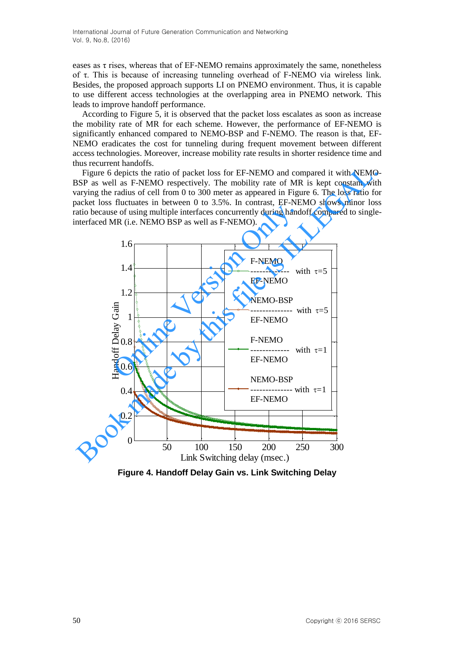eases as  $\tau$  rises, whereas that of EF-NEMO remains approximately the same, nonetheless of τ. This is because of increasing tunneling overhead of F-NEMO via wireless link. Besides, the proposed approach supports LI on PNEMO environment. Thus, it is capable to use different access technologies at the overlapping area in PNEMO network. This leads to improve handoff performance.

According to Figure 5, it is observed that the packet loss escalates as soon as increase the mobility rate of MR for each scheme. However, the performance of EF-NEMO is significantly enhanced compared to NEMO-BSP and F-NEMO. The reason is that, EF-NEMO eradicates the cost for tunneling during frequent movement between different access technologies. Moreover, increase mobility rate results in shorter residence time and thus recurrent handoffs.

Figure 6 depicts the ratio of packet loss for EF-NEMO and compared it with NEMO-BSP as well as F-NEMO respectively. The mobility rate of MR is kept constant with varying the radius of cell from 0 to 300 meter as appeared in Figure 6. The loss ratio for packet loss fluctuates in between 0 to 3.5%. In contrast, EF-NEMO shows minor loss ratio because of using multiple interfaces concurrently during handoff compared to singleinterfaced MR (i.e. NEMO BSP as well as F-NEMO).



**Figure 4. Handoff Delay Gain vs. Link Switching Delay**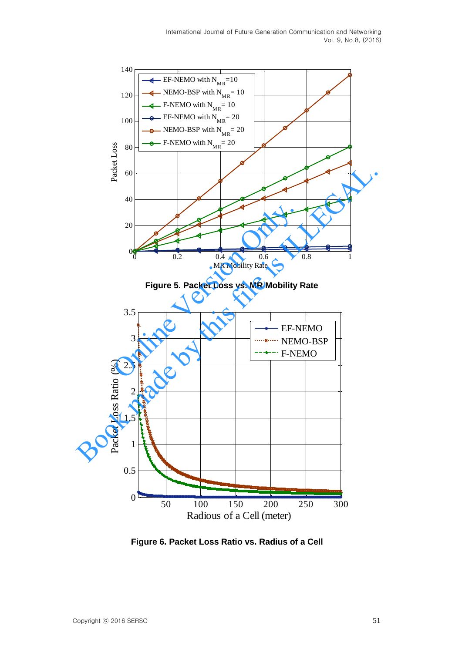

**Figure 5. Packet Loss vs. MR Mobility Rate** 



**Figure 6. Packet Loss Ratio vs. Radius of a Cell**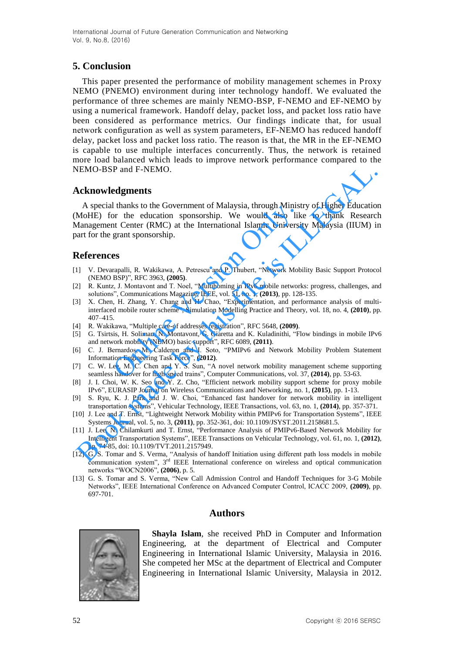# **5. Conclusion**

This paper presented the performance of mobility management schemes in Proxy NEMO (PNEMO) environment during inter technology handoff. We evaluated the performance of three schemes are mainly NEMO-BSP, F-NEMO and EF-NEMO by using a numerical framework. Handoff delay, packet loss, and packet loss ratio have been considered as performance metrics. Our findings indicate that, for usual network configuration as well as system parameters, EF-NEMO has reduced handoff delay, packet loss and packet loss ratio. The reason is that, the MR in the EF-NEMO is capable to use multiple interfaces concurrently. Thus, the network is retained more load balanced which leads to improve network performance compared to the NEMO-BSP and F-NEMO.

## **Acknowledgments**

A special thanks to the Government of Malaysia, through Ministry of Higher Education (MoHE) for the education sponsorship. We would also like to thank Research Management Center (RMC) at the International Islamic University Malaysia (IIUM) in part for the grant sponsorship. 1 thanks to the Government of Malaysia, through Minist<br>
or the education sponsorship. We would also like<br>
to the ducation sponsorship. We would also like<br>
to the Enter (RMC) at the International Islamic University<br>
grant s VEMO-BSP and F-NEMO.<br>
A cknowledgements<br>
A special thanks to the Government of Malaysia, through Ministry of Higher Education<br>
Management Center (RMC) at the International Islamic University Malaysia (IIUM) is<br>
Management

## **References**

- [1] V. Devarapalli, R. Wakikawa, A. Petrescu and P. Thubert, "Network Mobility Basic Support Protocol (NEMO BSP)", RFC 3963, **(2005)**.
- [2] R. Kuntz, J. Montavont and T. Noel, "Multihoming in IPv6 mobile networks: progress, challenges, and solutions", Communications Magazine, IEEE, vol. 51, no. 1, **(2013)**, pp. 128-135.
- [3] X. Chen, H. Zhang, Y. Chang and H. Chao, "Experimentation, and performance analysis of multiinterfaced mobile router scheme", Simulation Modelling Practice and Theory, vol. 18, no. 4, **(2010)**, pp. 407–415.
- [4] R. Wakikawa, "Multiple care-of addresses registration", RFC 5648, **(2009)**.
- [5] G. Tsirtsis, H. Soliman, N. Montavont, G. Giaretta and K. Kuladinithi, "Flow bindings in mobile IPv6 and network mobility (NEMO) basic support", RFC 6089, **(2011)**.
- [6] C. J. Bernardos, M. Calderon and I. Soto, "PMIPv6 and Network Mobility Problem Statement Information Engineering Task Force", **(2012)**.
- [7] C. W. Lee, M. C. Chen and Y. S. Sun, "A novel network mobility management scheme supporting seamless handover for high-speed trains", Computer Communications, vol. 37, **(2014)**, pp. 53-63.
- [8] J. I. Choi, W. K. Seo and Y. Z. Cho, "Efficient network mobility support scheme for proxy mobile IPv6", EURASIP Journal on Wireless Communications and Networking, no. 1, **(2015)**, pp. 1-13.
- [9] S. Ryu, K. J. Park and J. W. Choi, "Enhanced fast handover for network mobility in intelligent transportation systems", Vehicular Technology, IEEE Transactions, vol. 63, no. 1, **(2014)**, pp. 357-371.
- [10] J. Lee and T. Ernst, "Lightweight Network Mobility within PMIPv6 for Transportation Systems", IEEE Systems Journal, vol. 5, no. 3, **(2011)**, pp. 352-361, doi: 10.1109/JSYST.2011.2158681.5.
- [11] J. Lee, N. Chilamkurti and T. Ernst, "Performance Analysis of PMIPv6-Based Network Mobility for Intelligent Transportation Systems", IEEE Transactions on Vehicular Technology, vol. 61, no. 1, **(2012)**, pp. 74-85, doi: 10.1109/TVT.2011.2157949.
- [12] G. S. Tomar and S. Verma, "Analysis of handoff Initiation using different path loss models in mobile communication system", 3<sup>rd</sup> IEEE International conference on wireless and optical communication networks "WOCN2006", **(2006)**, p. 5.
- [13] G. S. Tomar and S. Verma, "New Call Admission Control and Handoff Techniques for 3-G Mobile Networks", IEEE International Conference on Advanced Computer Control, ICACC 2009, **(2009)**, pp. 697-701.

### **Authors**



**Shayla Islam**, she received PhD in Computer and Information Engineering, at the department of Electrical and Computer Engineering in International Islamic University, Malaysia in 2016. She competed her MSc at the department of Electrical and Computer Engineering in International Islamic University, Malaysia in 2012.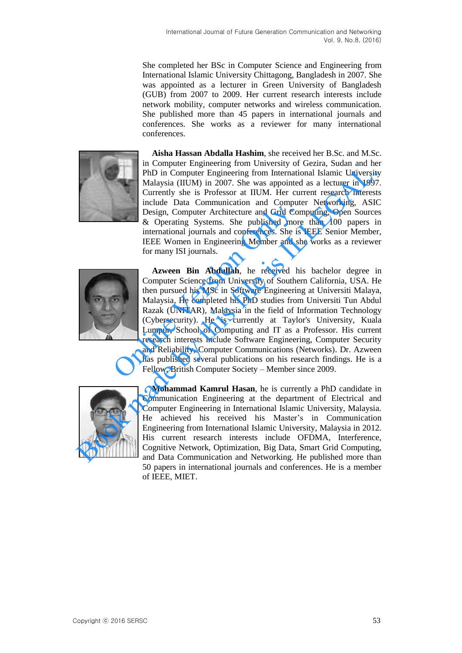She completed her BSc in Computer Science and Engineering from International Islamic University Chittagong, Bangladesh in 2007. She was appointed as a lecturer in Green University of Bangladesh (GUB) from 2007 to 2009. Her current research interests include network mobility, computer networks and wireless communication. She published more than 45 papers in international journals and conferences. She works as a reviewer for many international conferences.



**Aisha Hassan Abdalla Hashim**, she received her B.Sc. and M.Sc. in Computer Engineering from University of Gezira, Sudan and her PhD in Computer Engineering from International Islamic University Malaysia (IIUM) in 2007. She was appointed as a lecturer in 1997. Currently she is Professor at IIUM. Her current research interests include Data Communication and Computer Networking, ASIC Design, Computer Architecture and Grid Computing, Open Sources & Operating Systems. She published more than 100 papers in international journals and conferences. She is IEEE Senior Member, IEEE Women in Engineering Member and she works as a reviewer for many ISI journals.



**Azween Bin Abdullah**, he received his bachelor degree in Computer Science from University of Southern California, USA. He then pursued his MSc in Software Engineering at Universiti Malaya, Malaysia. He completed his PhD studies from Universiti Tun Abdul Razak (UNITAR), Malaysia in the field of Information Technology (Cybersecurity). He is currently at Taylor's University, Kuala Lumpur, School of Computing and IT as a Professor. His current research interests include Software Engineering, Computer Security and Reliability, Computer Communications (Networks). Dr. Azween has published several publications on his research findings. He is a Fellow, British Computer Society – Member since 2009. Design, Computer Architecture and Grid Conservation and Conservation and Grid Conservational journals and conferences. She is IEEE Women in Engineering Member and she for many ISI journals.<br>
Azween Bin Abdullah, he receive The Dimensional Islamic University and the Conduct of the Computer Engineering from International Islamic University<br>Currently she is Professor at IIUM. Her current research interest<br>Currently she is Professor at IIUM. Her



**Mohammad Kamrul Hasan**, he is currently a PhD candidate in Communication Engineering at the department of Electrical and Computer Engineering in International Islamic University, Malaysia. He achieved his received his Master's in Communication Engineering from International Islamic University, Malaysia in 2012. His current research interests include OFDMA, Interference, Cognitive Network, Optimization, Big Data, Smart Grid Computing, and Data Communication and Networking. He published more than 50 papers in international journals and conferences. He is a member of IEEE, MIET.